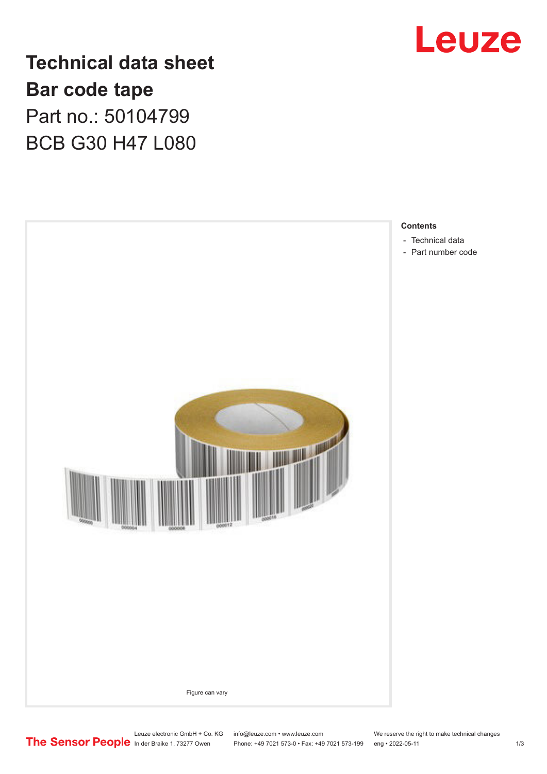

**Technical data sheet Bar code tape** Part no.: 50104799 BCB G30 H47 L080



Leuze electronic GmbH + Co. KG info@leuze.com • www.leuze.com We reserve the right to make technical changes<br>
The Sensor People in der Braike 1, 73277 Owen Phone: +49 7021 573-0 • Fax: +49 7021 573-199 eng • 2022-05-11

Phone: +49 7021 573-0 • Fax: +49 7021 573-199 eng • 2022-05-11 1 2022-05-11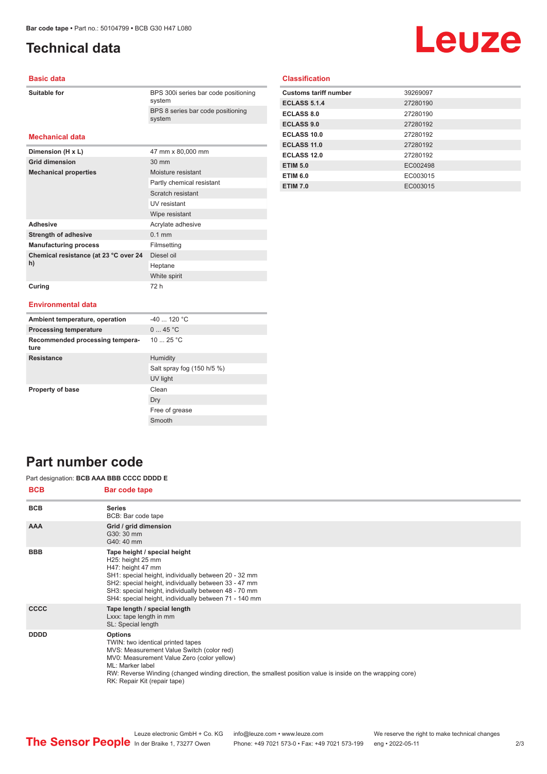# <span id="page-1-0"></span>**Technical data**

# Leuze

### **Basic data**

| <b>Suitable for</b> |  |
|---------------------|--|
|                     |  |

BPS 300i series bar code positioning system BPS 8 series bar code positioning system

## **Mechanical data**

| Dimension (H x L)                           | 47 mm x 80,000 mm         |
|---------------------------------------------|---------------------------|
| <b>Grid dimension</b>                       | $30 \text{ mm}$           |
| <b>Mechanical properties</b>                | Moisture resistant        |
|                                             | Partly chemical resistant |
|                                             | Scratch resistant         |
|                                             | UV resistant              |
|                                             | Wipe resistant            |
| <b>Adhesive</b>                             | Acrylate adhesive         |
| <b>Strength of adhesive</b>                 | $0.1$ mm                  |
| <b>Manufacturing process</b>                | Filmsetting               |
| Chemical resistance (at 23 °C over 24<br>h) | Diesel oil                |
|                                             | Heptane                   |
|                                             | White spirit              |
| Curing                                      | 72 h                      |

## **Classification**

| <b>Customs tariff number</b> | 39269097 |
|------------------------------|----------|
| <b>ECLASS 5.1.4</b>          | 27280190 |
| <b>ECLASS 8.0</b>            | 27280190 |
| <b>ECLASS 9.0</b>            | 27280192 |
| ECLASS 10.0                  | 27280192 |
| ECLASS 11.0                  | 27280192 |
| ECLASS 12.0                  | 27280192 |
| <b>ETIM 5.0</b>              | EC002498 |
| <b>ETIM 6.0</b>              | EC003015 |
| <b>ETIM 7.0</b>              | EC003015 |

#### **Environmental data**

| Ambient temperature, operation          | $-40$ 120 °C               |
|-----------------------------------------|----------------------------|
| <b>Processing temperature</b>           | 045 °C                     |
| Recommended processing tempera-<br>ture | 10 $25 °C$                 |
| <b>Resistance</b>                       | Humidity                   |
|                                         | Salt spray fog (150 h/5 %) |
|                                         | UV light                   |
| <b>Property of base</b>                 | Clean                      |
|                                         | Dry                        |
|                                         | Free of grease             |
|                                         | Smooth                     |

# **Part number code**

Part designation: **BCB AAA BBB CCCC DDDD E**

| <b>BCB</b>  | Bar code tape                                                                                                                                                                                                                                                                                                     |
|-------------|-------------------------------------------------------------------------------------------------------------------------------------------------------------------------------------------------------------------------------------------------------------------------------------------------------------------|
| <b>BCB</b>  | <b>Series</b><br>BCB: Bar code tape                                                                                                                                                                                                                                                                               |
| <b>AAA</b>  | Grid / grid dimension<br>G30: 30 mm<br>G40: 40 mm                                                                                                                                                                                                                                                                 |
| <b>BBB</b>  | Tape height / special height<br>H25: height 25 mm<br>H47: height 47 mm<br>SH1: special height, individually between 20 - 32 mm<br>SH2: special height, individually between 33 - 47 mm<br>SH3: special height, individually between 48 - 70 mm<br>SH4: special height, individually between 71 - 140 mm           |
| <b>CCCC</b> | Tape length / special length<br>Lxxx: tape length in mm<br>SL: Special length                                                                                                                                                                                                                                     |
| <b>DDDD</b> | <b>Options</b><br>TWIN: two identical printed tapes<br>MVS: Measurement Value Switch (color red)<br>MV0: Measurement Value Zero (color yellow)<br>ML: Marker label<br>RW: Reverse Winding (changed winding direction, the smallest position value is inside on the wrapping core)<br>RK: Repair Kit (repair tape) |